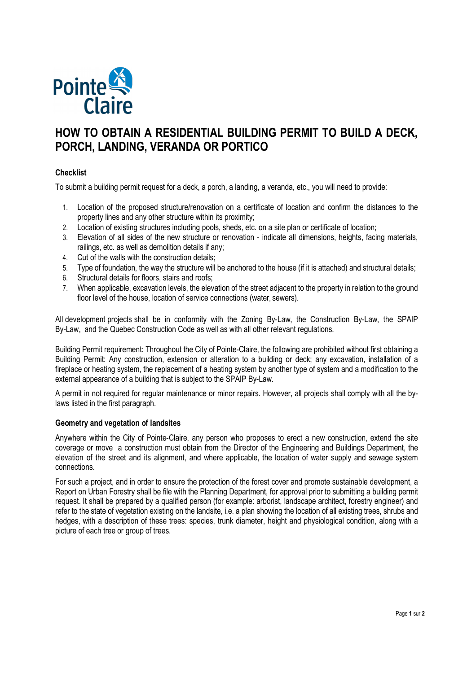

# **HOW TO OBTAIN A RESIDENTIAL BUILDING PERMIT TO BUILD A DECK, PORCH, LANDING, VERANDA OR PORTICO**

## **Checklist**

To submit a building permit request for a deck, a porch, a landing, a veranda, etc., you will need to provide:

- 1. Location of the proposed structure/renovation on a certificate of location and confirm the distances to the property lines and any other structure within its proximity;
- 2. Location of existing structures including pools, sheds, etc. on a site plan or certificate of location;
- 3. Elevation of all sides of the new structure or renovation indicate all dimensions, heights, facing materials, railings, etc. as well as demolition details if any;
- 4. Cut of the walls with the construction details;
- 5. Type of foundation, the way the structure will be anchored to the house (if it is attached) and structural details;
- 6. Structural details for floors, stairs and roofs;
- 7. When applicable, excavation levels, the elevation of the street adjacent to the property in relation to the ground floor level of the house, location of service connections (water, sewers).

All development projects shall be in conformity with the Zoning By-Law, the Construction By-Law, the SPAIP By-Law, and the Quebec Construction Code as well as with all other relevant regulations.

Building Permit requirement: Throughout the City of Pointe-Claire, the following are prohibited without first obtaining a Building Permit: Any construction, extension or alteration to a building or deck; any excavation, installation of a fireplace or heating system, the replacement of a heating system by another type of system and a modification to the external appearance of a building that is subject to the SPAIP By-Law.

A permit in not required for regular maintenance or minor repairs. However, all projects shall comply with all the bylaws listed in the first paragraph.

## **Geometry and vegetation of landsites**

Anywhere within the City of Pointe-Claire, any person who proposes to erect a new construction, extend the site coverage or move a construction must obtain from the Director of the Engineering and Buildings Department, the elevation of the street and its alignment, and where applicable, the location of water supply and sewage system connections.

For such a project, and in order to ensure the protection of the forest cover and promote sustainable development, a Report on Urban Forestry shall be file with the Planning Department, for approval prior to submitting a building permit request. It shall be prepared by a qualified person (for example: arborist, landscape architect, forestry engineer) and refer to the state of vegetation existing on the landsite, i.e. a plan showing the location of all existing trees, shrubs and hedges, with a description of these trees: species, trunk diameter, height and physiological condition, along with a picture of each tree or group of trees.